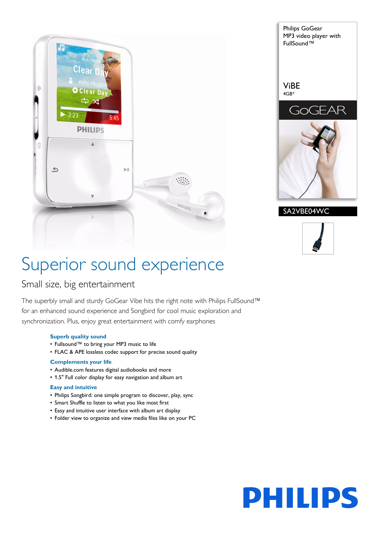





# Superior sound experience

# Small size, big entertainment

The superbly small and sturdy GoGear Vibe hits the right note with Philips FullSound™ for an enhanced sound experience and Songbird for cool music exploration and synchronization. Plus, enjoy great entertainment with comfy earphones

#### **Superb quality sound**

- Fullsound™ to bring your MP3 music to life
- FLAC & APE lossless codec support for precise sound quality

#### **Complements your life**

- Audible.com features digital audiobooks and more
- 1.5" Full color display for easy navigation and album art

#### **Easy and intuitive**

- Philips Songbird: one simple program to discover, play, sync
- Smart Shuffle to listen to what you like most first
- Easy and intuitive user interface with album art display
- Folder view to organize and view media files like on your PC

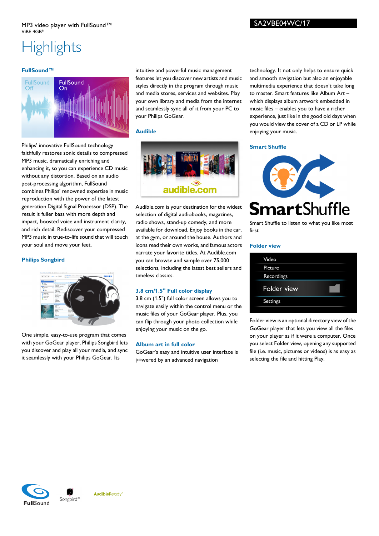# **Highlights**

#### **FullSound™**



Philips' innovative FullSound technology faithfully restores sonic details to compressed MP3 music, dramatically enriching and enhancing it, so you can experience CD music without any distortion. Based on an audio post-processing algorithm, FullSound combines Philips' renowned expertise in music reproduction with the power of the latest generation Digital Signal Processor (DSP). The result is fuller bass with more depth and impact, boosted voice and instrument clarity, and rich detail. Rediscover your compressed MP3 music in true-to-life sound that will touch your soul and move your feet.

#### **Philips Songbird**



One simple, easy-to-use program that comes with your GoGear player, Philips Songbird lets you discover and play all your media, and sync it seamlessly with your Philips GoGear. Its

intuitive and powerful music management features let you discover new artists and music styles directly in the program through music and media stores, services and websites. Play your own library and media from the internet and seamlessly sync all of it from your PC to your Philips GoGear.

#### **Audible**



Audible.com is your destination for the widest selection of digital audiobooks, magazines, radio shows, stand-up comedy, and more available for download. Enjoy books in the car, at the gym, or around the house. Authors and icons read their own works, and famous actors narrate your favorite titles. At Audible.com you can browse and sample over 75,000 selections, including the latest best sellers and timeless classics.

#### **3.8 cm/1.5" Full color display**

3.8 cm (1.5") full color screen allows you to navigate easily within the control menu or the music files of your GoGear player. Plus, you can flip through your photo collection while enjoying your music on the go.

#### **Album art in full color**

GoGear's easy and intuitive user interface is powered by an advanced navigation

technology. It not only helps to ensure quick and smooth navigation but also an enjoyable multimedia experience that doesn't take long to master. Smart features like Album Art – which displays album artwork embedded in music files – enables you to have a richer experience, just like in the good old days when you would view the cover of a CD or LP while enjoying your music.

#### **Smart Shuffle**



Smart Shuffle to listen to what you like most first

#### **Folder view**

Folder view is an optional directory view of the GoGear player that lets you view all the files on your player as if it were a computer. Once you select Folder view, opening any supported file (i.e. music, pictures or videos) is as easy as selecting the file and hitting Play.





AudibleReady